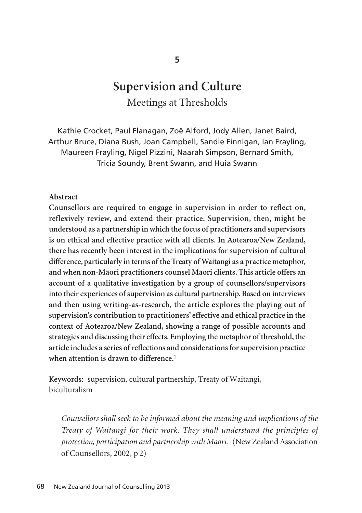# **Supervision and Culture**  Meetings at Thresholds

Kathie Crocket, Paul Flanagan, Zoë Alford, Jody Allen, Janet Baird, Arthur Bruce, Diana Bush, Joan Campbell, Sandie Finnigan, Ian Frayling, Maureen Frayling, Nigel Pizzini, Naarah Simpson, Bernard Smith, Tricia Soundy, Brent Swann, and Huia Swann

## **Abstract**

**Counsellors are required to engage in supervision in order to reflect on, reflexively review, and extend their practice. Supervision, then, might be understood as a partnership in which the focus of practitioners and supervisors is on ethical and effective practice with all clients. In Aotearoa/New Zealand, there has recently been interest in the implications for supervision of cultural difference, particularly in terms of the Treaty of Waitangi as a practice metaphor, and when non-Mäori practitioners counsel Mäori clients. This article offers an account of a qualitative investigation by a group of counsellors/supervisors into their experiences of supervision as cultural partnership. Based on interviews and then using writing-as-research, the article explores the playing out of supervision's contribution to practitioners' effective and ethical practice in the context of Aotearoa/New Zealand, showing a range of possible accounts and strategies and discussing their effects. Employing the metaphor of threshold, the article includes a series of reflections and considerations for supervision practice when attention is drawn to difference.1**

**Keywords:** supervision, cultural partnership, Treaty of Waitangi, biculturalism

*Counsellors shall seek to be informed about the meaning and implications of the Treaty of Waitangi for their work. They shall understand the principles of protection, participation and partnership with Maori.* (New Zealand Association of Counsellors, 2002, p 2)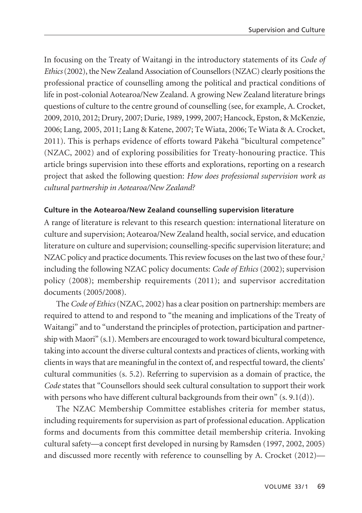In focusing on the Treaty of Waitangi in the introductory statements of its *Code of Ethics*(2002), the New Zealand Association of Counsellors (NZAC) clearly positions the professional practice of counselling among the political and practical conditions of life in post-colonial Aotearoa/New Zealand. A growing New Zealand literature brings questions of culture to the centre ground of counselling (see, for example, A. Crocket, 2009, 2010, 2012; Drury, 2007; Durie, 1989, 1999, 2007; Hancock, Epston, & McKenzie, 2006; Lang, 2005, 2011; Lang & Katene, 2007; Te Wiata, 2006; Te Wiata & A. Crocket, 2011). This is perhaps evidence of efforts toward Päkehä "bicultural competence" (NZAC, 2002) and of exploring possibilities for Treaty-honouring practice. This article brings supervision into these efforts and explorations, reporting on a research project that asked the following question: *How does professional supervision work as cultural partnership in Aotearoa/New Zealand?* 

## **Culture in the Aotearoa/New Zealand counselling supervision literature**

A range of literature is relevant to this research question: international literature on culture and supervision; Aotearoa/New Zealand health, social service, and education literature on culture and supervision; counselling-specific supervision literature; and NZAC policy and practice documents. This review focuses on the last two of these four,<sup>2</sup> including the following NZAC policy documents: *Code of Ethics* (2002); supervision policy (2008); membership requirements (2011); and supervisor accreditation documents (2005/2008).

The *Code of Ethics*(NZAC, 2002) has a clear position on partnership: members are required to attend to and respond to "the meaning and implications of the Treaty of Waitangi" and to "understand the principles of protection, participation and partnership with Maori" (s.1). Members are encouraged to work toward bicultural competence, taking into account the diverse cultural contexts and practices of clients, working with clients in ways that are meaningful in the context of, and respectful toward, the clients' cultural communities (s. 5.2). Referring to supervision as a domain of practice, the *Code* states that "Counsellors should seek cultural consultation to support their work with persons who have different cultural backgrounds from their own"  $(s, 9.1(d))$ .

The NZAC Membership Committee establishes criteria for member status, including requirements for supervision as part of professional education. Application forms and documents from this committee detail membership criteria. Invoking cultural safety—a concept first developed in nursing by Ramsden (1997, 2002, 2005) and discussed more recently with reference to counselling by A. Crocket (2012)—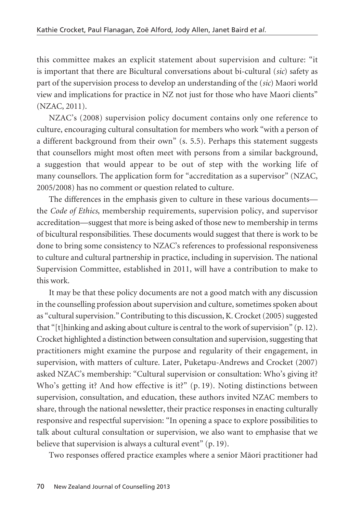this committee makes an explicit statement about supervision and culture: "it is important that there are Bicultural conversations about bi-cultural (*sic*) safety as part of the supervision process to develop an understanding of the (*sic*) Maori world view and implications for practice in NZ not just for those who have Maori clients" (NZAC, 2011).

NZAC's (2008) supervision policy document contains only one reference to culture, encouraging cultural consultation for members who work "with a person of a different background from their own" (s. 5.5). Perhaps this statement suggests that counsellors might most often meet with persons from a similar background, a suggestion that would appear to be out of step with the working life of many counsellors. The application form for "accreditation as a supervisor" (NZAC, 2005/2008) has no comment or question related to culture.

The differences in the emphasis given to culture in these various documents the *Code of Ethics*, membership requirements, supervision policy, and supervisor accreditation—suggest that more is being asked of those new to membership in terms of bicultural responsibilities. These documents would suggest that there is work to be done to bring some consistency to NZAC's references to professional responsiveness to culture and cultural partnership in practice, including in supervision. The national Supervision Committee, established in 2011, will have a contribution to make to this work.

It may be that these policy documents are not a good match with any discussion in the counselling profession about supervision and culture, sometimes spoken about as "cultural supervision." Contributing to this discussion, K. Crocket (2005) suggested that "[t]hinking and asking about culture is central to the work of supervision" (p. 12). Crocket highlighted a distinction between consultation and supervision, suggesting that practitioners might examine the purpose and regularity of their engagement, in supervision, with matters of culture. Later, Puketapu-Andrews and Crocket (2007) asked NZAC's membership: "Cultural supervision or consultation: Who's giving it? Who's getting it? And how effective is it?" (p. 19). Noting distinctions between supervision, consultation, and education, these authors invited NZAC members to share, through the national newsletter, their practice responses in enacting culturally responsive and respectful supervision: "In opening a space to explore possibilities to talk about cultural consultation or supervision, we also want to emphasise that we believe that supervision is always a cultural event" (p. 19).

Two responses offered practice examples where a senior Mäori practitioner had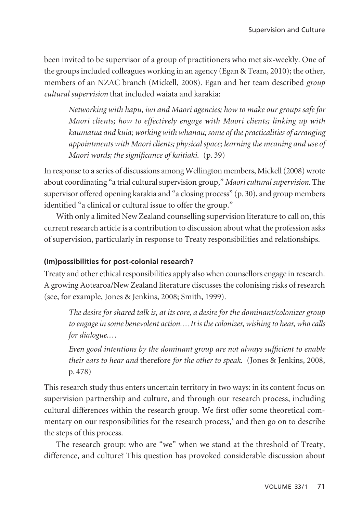been invited to be supervisor of a group of practitioners who met six-weekly. One of the groups included colleagues working in an agency (Egan & Team, 2010); the other, members of an NZAC branch (Mickell, 2008). Egan and her team described *group cultural supervision* that included waiata and karakia:

*Networking with hapu, iwi and Maori agencies; how to make our groups safe for Maori clients; how to effectively engage with Maori clients; linking up with kaumatua and kuia; working with whanau; some of the practicalities of arranging appointments with Maori clients; physical space; learning the meaning and use of Maori words; the significance of kaitiaki.* (p. 39)

In response to a series of discussions among Wellington members, Mickell (2008) wrote about coordinating "a trial cultural supervision group," *Maori cultural supervision*. The supervisor offered opening karakia and "a closing process" (p. 30), and group members identified "a clinical or cultural issue to offer the group."

With only a limited New Zealand counselling supervision literature to call on, this current research article is a contribution to discussion about what the profession asks of supervision, particularly in response to Treaty responsibilities and relationships.

# **(Im)possibilities for post-colonial research?**

Treaty and other ethical responsibilities apply also when counsellors engage in research. A growing Aotearoa/New Zealand literature discusses the colonising risks of research (see, for example, Jones & Jenkins, 2008; Smith, 1999).

*The desire for shared talk is, at its core, a desire for the dominant/colonizer group to engage in some benevolent action.…It is the colonizer, wishing to hear, who calls for dialogue.…*

*Even good intentions by the dominant group are not always sufficient to enable their ears to hear and* therefore *for the other to speak.* (Jones & Jenkins, 2008, p. 478)

This research study thus enters uncertain territory in two ways: in its content focus on supervision partnership and culture, and through our research process, including cultural differences within the research group. We first offer some theoretical commentary on our responsibilities for the research process, $3$  and then go on to describe the steps of this process.

The research group: who are "we" when we stand at the threshold of Treaty, difference, and culture? This question has provoked considerable discussion about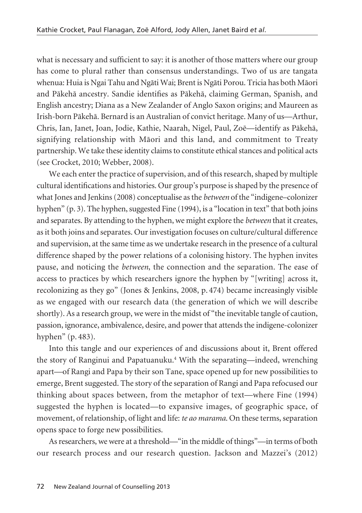what is necessary and sufficient to say: it is another of those matters where our group has come to plural rather than consensus understandings. Two of us are tangata whenua: Huia is Ngai Tahu and Ngäti Wai; Brent is Ngäti Porou. Tricia has both Mäori and Päkehä ancestry. Sandie identifies as Päkehä, claiming German, Spanish, and English ancestry; Diana as a New Zealander of Anglo Saxon origins; and Maureen as Irish-born Päkehä. Bernard is an Australian of convict heritage. Many of us—Arthur, Chris, Ian, Janet, Joan, Jodie, Kathie, Naarah, Nigel, Paul, Zoë—identify as Päkehä, signifying relationship with Mäori and this land, and commitment to Treaty partnership. We take these identity claims to constitute ethical stances and political acts (see Crocket, 2010; Webber, 2008).

We each enter the practice of supervision, and of this research, shaped by multiple cultural identifications and histories. Our group's purpose is shaped by the presence of what Jones and Jenkins (2008) conceptualise as the *between* of the "indigene–colonizer hyphen" (p. 3). The hyphen, suggested Fine (1994), is a "location in text" that both joins and separates. By attending to the hyphen, we might explore the *between* that it creates, as it both joins and separates. Our investigation focuses on culture/cultural difference and supervision, at the same time as we undertake research in the presence of a cultural difference shaped by the power relations of a colonising history. The hyphen invites pause, and noticing the *between*, the connection and the separation. The ease of access to practices by which researchers ignore the hyphen by "[writing] across it, recolonizing as they go" (Jones & Jenkins, 2008, p. 474) became increasingly visible as we engaged with our research data (the generation of which we will describe shortly). As a research group, we were in the midst of "the inevitable tangle of caution, passion, ignorance, ambivalence, desire, and power that attends the indigene-colonizer hyphen" (p. 483).

Into this tangle and our experiences of and discussions about it, Brent offered the story of Ranginui and Papatuanuku.<sup>4</sup> With the separating—indeed, wrenching apart—of Rangi and Papa by their son Tane, space opened up for new possibilities to emerge, Brent suggested. The story of the separation of Rangi and Papa refocused our thinking about spaces between, from the metaphor of text—where Fine (1994) suggested the hyphen is located—to expansive images, of geographic space, of movement, of relationship, of light and life: *te ao marama*. On these terms, separation opens space to forge new possibilities.

As researchers, we were at a threshold—"in the middle of things"—in terms of both our research process and our research question. Jackson and Mazzei's (2012)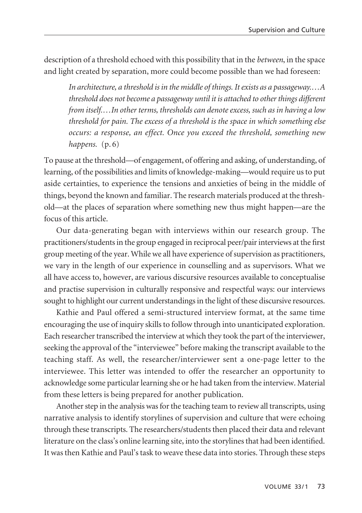description of a threshold echoed with this possibility that in the *between*, in the space and light created by separation, more could become possible than we had foreseen:

*In architecture, a threshold is in the middle of things. It exists as a passageway.…A threshold does not become a passageway until it is attached to other things different from itself.…In other terms, thresholds can denote excess, such as in having a low threshold for pain. The excess of a threshold is the space in which something else occurs: a response, an effect. Once you exceed the threshold, something new happens.* (p. 6)

To pause at the threshold—of engagement, of offering and asking, of understanding, of learning, of the possibilities and limits of knowledge-making—would require us to put aside certainties, to experience the tensions and anxieties of being in the middle of things, beyond the known and familiar. The research materials produced at the threshold—at the places of separation where something new thus might happen—are the focus of this article.

Our data-generating began with interviews within our research group. The practitioners/students in the group engaged in reciprocal peer/pair interviews at the first group meeting of the year. While we all have experience of supervision as practitioners, we vary in the length of our experience in counselling and as supervisors. What we all have access to, however, are various discursive resources available to conceptualise and practise supervision in culturally responsive and respectful ways: our interviews sought to highlight our current understandings in the light of these discursive resources.

Kathie and Paul offered a semi-structured interview format, at the same time encouraging the use of inquiry skills to follow through into unanticipated exploration. Each researcher transcribed the interview at which they took the part of the interviewer, seeking the approval of the "interviewee" before making the transcript available to the teaching staff. As well, the researcher/interviewer sent a one-page letter to the interviewee. This letter was intended to offer the researcher an opportunity to acknowledge some particular learning she or he had taken from the interview. Material from these letters is being prepared for another publication.

Another step in the analysis was for the teaching team to review all transcripts, using narrative analysis to identify storylines of supervision and culture that were echoing through these transcripts. The researchers/students then placed their data and relevant literature on the class's online learning site, into the storylines that had been identified. It was then Kathie and Paul's task to weave these data into stories. Through these steps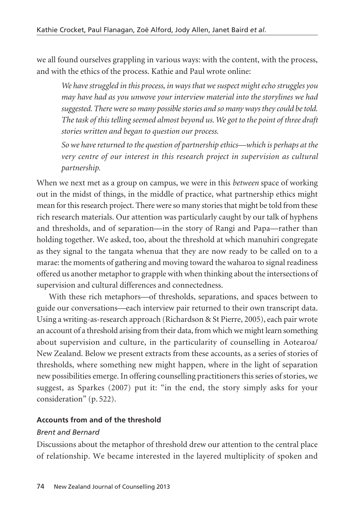we all found ourselves grappling in various ways: with the content, with the process, and with the ethics of the process. Kathie and Paul wrote online:

*We have struggled in this process, in ways that we suspect might echo struggles you may have had as you unwove your interview material into the storylines we had suggested. There were so many possible stories and so many ways they could be told. The task of this telling seemed almost beyond us. We got to the point of three draft stories written and began to question our process.* 

*So we have returned to the question of partnership ethics—which is perhaps at the very centre of our interest in this research project in supervision as cultural partnership.*

When we next met as a group on campus, we were in this *between* space of working out in the midst of things, in the middle of practice, what partnership ethics might mean for this research project. There were so many stories that might be told from these rich research materials. Our attention was particularly caught by our talk of hyphens and thresholds, and of separation—in the story of Rangi and Papa—rather than holding together. We asked, too, about the threshold at which manuhiri congregate as they signal to the tangata whenua that they are now ready to be called on to a marae: the moments of gathering and moving toward the waharoa to signal readiness offered us another metaphor to grapple with when thinking about the intersections of supervision and cultural differences and connectedness.

With these rich metaphors—of thresholds, separations, and spaces between to guide our conversations—each interview pair returned to their own transcript data. Using a writing-as-research approach (Richardson & St Pierre, 2005), each pair wrote an account of a threshold arising from their data, from which we might learn something about supervision and culture, in the particularity of counselling in Aotearoa/ New Zealand. Below we present extracts from these accounts, as a series of stories of thresholds, where something new might happen, where in the light of separation new possibilities emerge. In offering counselling practitioners this series of stories, we suggest, as Sparkes (2007) put it: "in the end, the story simply asks for your consideration" (p. 522).

## **Accounts from and of the threshold**

## *Brent and Bernard*

Discussions about the metaphor of threshold drew our attention to the central place of relationship. We became interested in the layered multiplicity of spoken and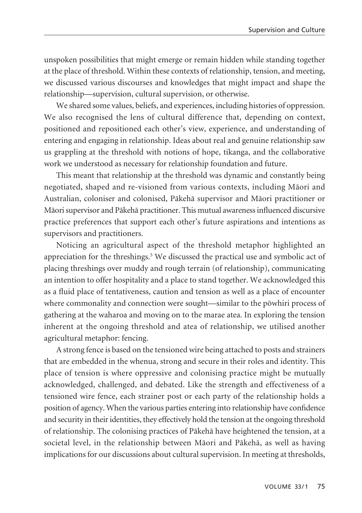unspoken possibilities that might emerge or remain hidden while standing together at the place of threshold. Within these contexts of relationship, tension, and meeting, we discussed various discourses and knowledges that might impact and shape the relationship—supervision, cultural supervision, or otherwise.

We shared some values, beliefs, and experiences, including histories of oppression. We also recognised the lens of cultural difference that, depending on context, positioned and repositioned each other's view, experience, and understanding of entering and engaging in relationship. Ideas about real and genuine relationship saw us grappling at the threshold with notions of hope, tikanga, and the collaborative work we understood as necessary for relationship foundation and future.

This meant that relationship at the threshold was dynamic and constantly being negotiated, shaped and re-visioned from various contexts, including Mäori and Australian, coloniser and colonised, Päkehä supervisor and Mäori practitioner or Mäori supervisor and Päkehä practitioner. This mutual awareness influenced discursive practice preferences that support each other's future aspirations and intentions as supervisors and practitioners.

Noticing an agricultural aspect of the threshold metaphor highlighted an appreciation for the threshings.<sup>5</sup> We discussed the practical use and symbolic act of placing threshings over muddy and rough terrain (of relationship), communicating an intention to offer hospitality and a place to stand together. We acknowledged this as a fluid place of tentativeness, caution and tension as well as a place of encounter where commonality and connection were sought—similar to the pöwhiri process of gathering at the waharoa and moving on to the marae atea. In exploring the tension inherent at the ongoing threshold and atea of relationship, we utilised another agricultural metaphor: fencing.

A strong fence is based on the tensioned wire being attached to posts and strainers that are embedded in the whenua, strong and secure in their roles and identity. This place of tension is where oppressive and colonising practice might be mutually acknowledged, challenged, and debated. Like the strength and effectiveness of a tensioned wire fence, each strainer post or each party of the relationship holds a position of agency. When the various parties entering into relationship have confidence and security in their identities, they effectively hold the tension at the ongoing threshold of relationship. The colonising practices of Päkehä have heightened the tension, at a societal level, in the relationship between Mäori and Päkehä, as well as having implications for our discussions about cultural supervision. In meeting at thresholds,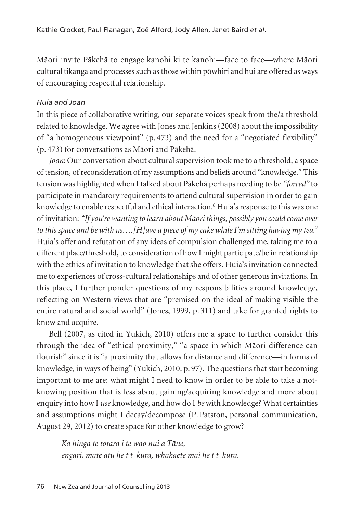Mäori invite Päkehä to engage kanohi ki te kanohi—face to face—where Mäori cultural tikanga and processes such as those within pöwhiri and hui are offered as ways of encouraging respectful relationship.

# *Huia and Joan*

In this piece of collaborative writing, our separate voices speak from the/a threshold related to knowledge. We agree with Jones and Jenkins (2008) about the impossibility of "a homogeneous viewpoint" (p. 473) and the need for a "negotiated flexibility" (p. 473) for conversations as Mäori and Päkehä.

*Joan*: Our conversation about cultural supervision took me to a threshold, a space of tension, of reconsideration of my assumptions and beliefs around "knowledge." This tension was highlighted when I talked about Päkehä perhaps needing to be *"forced"* to participate in mandatory requirements to attend cultural supervision in order to gain knowledge to enable respectful and ethical interaction.<sup>6</sup> Huia's response to this was one of invitation: *"If you're wanting to learn about Mäori things, possibly you could come over to this space and be with us….[H]ave a piece of my cake while I'm sitting having my tea."* Huia's offer and refutation of any ideas of compulsion challenged me, taking me to a different place/threshold, to consideration of how I might participate/be in relationship with the ethics of invitation to knowledge that she offers. Huia's invitation connected me to experiences of cross-cultural relationships and of other generous invitations. In this place, I further ponder questions of my responsibilities around knowledge, reflecting on Western views that are "premised on the ideal of making visible the entire natural and social world" (Jones, 1999, p. 311) and take for granted rights to know and acquire.

Bell (2007, as cited in Yukich, 2010) offers me a space to further consider this through the idea of "ethical proximity," "a space in which Mäori difference can flourish" since it is "a proximity that allows for distance and difference—in forms of knowledge, in ways of being" (Yukich, 2010, p. 97). The questions that start becoming important to me are: what might I need to know in order to be able to take a notknowing position that is less about gaining/acquiring knowledge and more about enquiry into how I *use* knowledge, and how do I *be* with knowledge? What certainties and assumptions might I decay/decompose (P. Patston, personal communication, August 29, 2012) to create space for other knowledge to grow?

*Ka hinga te totara i te wao nui a Täne, engari, mate atu he t t kura, whakaete mai he t t kura.*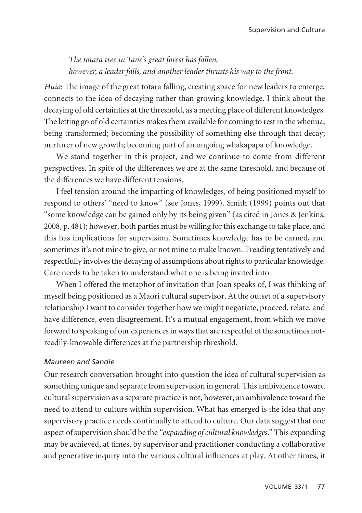# *The totara tree in Tane's great forest has fallen, however, a leader falls, and another leader thrusts his way to the front.*

*Huia*: The image of the great totara falling, creating space for new leaders to emerge, connects to the idea of decaying rather than growing knowledge. I think about the decaying of old certainties at the threshold, as a meeting place of different knowledges. The letting go of old certainties makes them available for coming to rest in the whenua; being transformed; becoming the possibility of something else through that decay; nurturer of new growth; becoming part of an ongoing whakapapa of knowledge.

We stand together in this project, and we continue to come from different perspectives. In spite of the differences we are at the same threshold, and because of the differences we have different tensions.

I feel tension around the imparting of knowledges, of being positioned myself to respond to others' "need to know" (see Jones, 1999). Smith (1999) points out that "some knowledge can be gained only by its being given" (as cited in Jones & Jenkins, 2008, p. 481); however, both parties must be willing for this exchange to take place, and this has implications for supervision. Sometimes knowledge has to be earned, and sometimes it's not mine to give, or not mine to make known. Treading tentatively and respectfully involves the decaying of assumptions about rights to particular knowledge. Care needs to be taken to understand what one is being invited into.

When I offered the metaphor of invitation that Joan speaks of, I was thinking of myself being positioned as a Mäori cultural supervisor. At the outset of a supervisory relationship I want to consider together how we might negotiate, proceed, relate, and have difference, even disagreement. It's a mutual engagement, from which we move forward to speaking of our experiences in ways that are respectful of the sometimes notreadily-knowable differences at the partnership threshold.

## *Maureen and Sandie*

Our research conversation brought into question the idea of cultural supervision as something unique and separate from supervision in general. This ambivalence toward cultural supervision as a separate practice is not, however, an ambivalence toward the need to attend to culture within supervision. What has emerged is the idea that any supervisory practice needs continually to attend to culture. Our data suggest that one aspect of supervision should be the "*expanding of cultural knowledges."* This expanding may be achieved, at times, by supervisor and practitioner conducting a collaborative and generative inquiry into the various cultural influences at play. At other times, it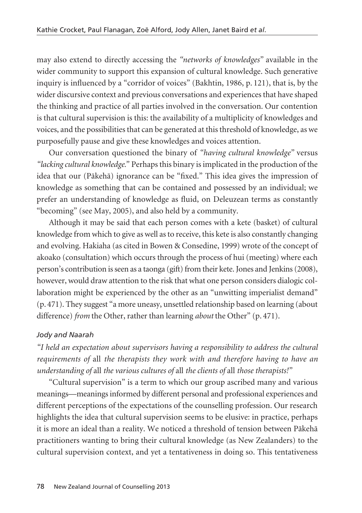may also extend to directly accessing the *"networks of knowledges"* available in the wider community to support this expansion of cultural knowledge. Such generative inquiry is influenced by a "corridor of voices" (Bakhtin, 1986, p. 121), that is, by the wider discursive context and previous conversations and experiences that have shaped the thinking and practice of all parties involved in the conversation. Our contention is that cultural supervision is this: the availability of a multiplicity of knowledges and voices, and the possibilities that can be generated at this threshold of knowledge, as we purposefully pause and give these knowledges and voices attention.

Our conversation questioned the binary of *"having cultural knowledge"* versus *"lacking cultural knowledge."* Perhaps this binary is implicated in the production of the idea that our (Päkehä) ignorance can be "fixed." This idea gives the impression of knowledge as something that can be contained and possessed by an individual; we prefer an understanding of knowledge as fluid, on Deleuzean terms as constantly "becoming" (see May, 2005), and also held by a community.

Although it may be said that each person comes with a kete (basket) of cultural knowledge from which to give as well as to receive, this kete is also constantly changing and evolving. Hakiaha (as cited in Bowen & Consedine, 1999) wrote of the concept of akoako (consultation) which occurs through the process of hui (meeting) where each person's contribution is seen as a taonga (gift) from their kete. Jones and Jenkins (2008), however, would draw attention to the risk that what one person considers dialogic collaboration might be experienced by the other as an "unwitting imperialist demand" (p. 471). They suggest "a more uneasy, unsettled relationship based on learning (about difference) *from* the Other, rather than learning *about* the Other" (p. 471).

# *Jody and Naarah*

*"I held an expectation about supervisors having a responsibility to address the cultural requirements of* all *the therapists they work with and therefore having to have an understanding of* all *the various cultures of* all *the clients of* all *those therapists!"*

"Cultural supervision" is a term to which our group ascribed many and various meanings—meanings informed by different personal and professional experiences and different perceptions of the expectations of the counselling profession. Our research highlights the idea that cultural supervision seems to be elusive: in practice, perhaps it is more an ideal than a reality. We noticed a threshold of tension between Päkehä practitioners wanting to bring their cultural knowledge (as New Zealanders) to the cultural supervision context, and yet a tentativeness in doing so. This tentativeness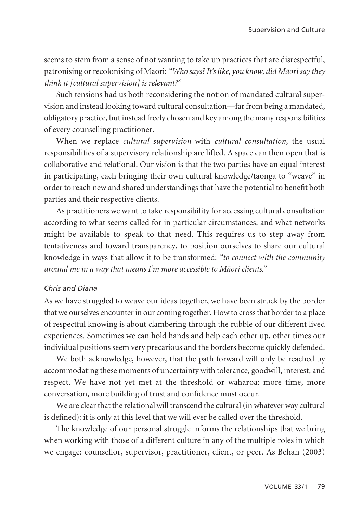seems to stem from a sense of not wanting to take up practices that are disrespectful, patronising or recolonising of Maori: *"Who says? It's like, you know, did Mäori say they think it [cultural supervision] is relevant?"* 

Such tensions had us both reconsidering the notion of mandated cultural super vision and instead looking toward cultural consultation—far from being a mandated, obligatory practice, but instead freely chosen and key among the many responsibilities of every counselling practitioner.

When we replace *cultural supervision* with *cultural consultation*, the usual responsibilities of a supervisory relationship are lifted. A space can then open that is collaborative and relational. Our vision is that the two parties have an equal interest in participating, each bringing their own cultural knowledge/taonga to "weave" in order to reach new and shared understandings that have the potential to benefit both parties and their respective clients.

As practitioners we want to take responsibility for accessing cultural consultation according to what seems called for in particular circumstances, and what networks might be available to speak to that need. This requires us to step away from tentativeness and toward transparency, to position ourselves to share our cultural knowledge in ways that allow it to be transformed: *"to connect with the community around me in a way that means I'm more accessible to Mäori clients."*

#### *Chris and Diana*

As we have struggled to weave our ideas together, we have been struck by the border that we ourselves encounter in our coming together. How to cross that border to a place of respectful knowing is about clambering through the rubble of our different lived experiences. Sometimes we can hold hands and help each other up, other times our individual positions seem very precarious and the borders become quickly defended.

We both acknowledge, however, that the path forward will only be reached by accommodating these moments of uncertainty with tolerance, goodwill, interest, and respect. We have not yet met at the threshold or waharoa: more time, more conversation, more building of trust and confidence must occur.

We are clear that the relational will transcend the cultural (in whatever way cultural is defined): it is only at this level that we will ever be called over the threshold.

The knowledge of our personal struggle informs the relationships that we bring when working with those of a different culture in any of the multiple roles in which we engage: counsellor, supervisor, practitioner, client, or peer. As Behan (2003)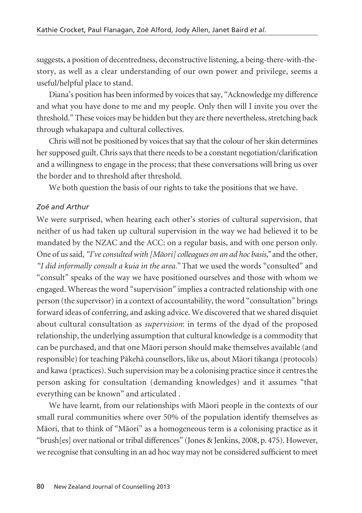suggests, a position of decentredness, deconstructive listening, a being-there-with-thestory, as well as a clear understanding of our own power and privilege, seems a useful/helpful place to stand.

Diana's position has been informed by voices that say, "Acknowledge my difference and what you have done to me and my people. Only then will I invite you over the threshold." These voices may be hidden but they are there nevertheless, stretching back through whakapapa and cultural collectives.

Chris will not be positioned by voices that say that the colour of her skin determines her supposed guilt. Chris says that there needs to be a constant negotiation/clarification and a willingness to engage in the process; that these conversations will bring us over the border and to threshold after threshold.

We both question the basis of our rights to take the positions that we have.

# *Zoë and Arthur*

We were surprised, when hearing each other's stories of cultural supervision, that neither of us had taken up cultural supervision in the way we had believed it to be mandated by the NZAC and the ACC: on a regular basis, and with one person only. One of us said, *"I've consulted with [Mäori] colleagues on an ad hoc basis,"* and the other, *"I did informally consult a kuia in the area."* That we used the words "consulted" and "consult" speaks of the way we have positioned ourselves and those with whom we engaged. Whereas the word "supervision" implies a contracted relationship with one person (the supervisor) in a context of accountability, the word "consultation" brings forward ideas of conferring, and asking advice. We discovered that we shared disquiet about cultural consultation as *supervision*: in terms of the dyad of the proposed relationship, the underlying assumption that cultural knowledge is a commodity that can be purchased, and that one Mäori person should make themselves available (and responsible) for teaching Päkehä counsellors, like us, about Mäori tikanga (protocols) and kawa (practices). Such supervision may be a colonising practice since it centres the person asking for consultation (demanding knowledges) and it assumes "that everything can be known" and articulated .

We have learnt, from our relationships with Mäori people in the contexts of our small rural communities where over 50% of the population identify themselves as Mäori, that to think of "Mäori" as a homogeneous term is a colonising practice as it "brush[es] over national or tribal differences" (Jones & Jenkins, 2008, p. 475). However, we recognise that consulting in an ad hoc way may not be considered sufficient to meet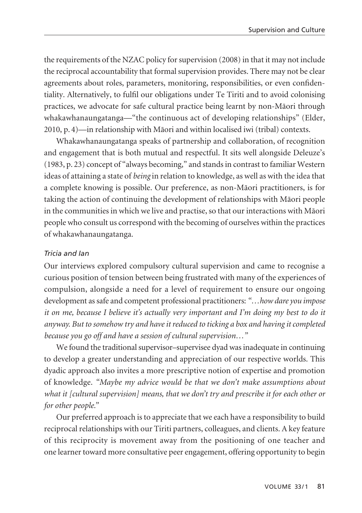the requirements of the NZAC policy for supervision (2008) in that it may not include the reciprocal accountability that formal supervision provides. There may not be clear agreements about roles, parameters, monitoring, responsibilities, or even confidentiality. Alternatively, to fulfil our obligations under Te Tiriti and to avoid colonising practices, we advocate for safe cultural practice being learnt by non-Mäori through whakawhanaungatanga—"the continuous act of developing relationships" (Elder, 2010, p. 4)—in relationship with Mäori and within localised iwi (tribal) contexts.

Whakawhanaungatanga speaks of partnership and collaboration, of recognition and engagement that is both mutual and respectful. It sits well alongside Deleuze's (1983, p. 23) concept of "always becoming," and stands in contrast to familiar Western ideas of attaining a state of *being* in relation to knowledge, as well as with the idea that a complete knowing is possible. Our preference, as non-Mäori practitioners, is for taking the action of continuing the development of relationships with Mäori people in the communities in which we live and practise, so that our interactions with Mäori people who consult us correspond with the becoming of ourselves within the practices of whakawhanaungatanga.

#### *Tricia and Ian*

Our interviews explored compulsory cultural supervision and came to recognise a curious position of tension between being frustrated with many of the experiences of compulsion, alongside a need for a level of requirement to ensure our ongoing development as safe and competent professional practitioners: *"…how dare you impose it on me, because I believe it's actually very important and I'm doing my best to do it anyway. But to somehow try and have it reduced to ticking a box and having it completed because you go off and have a session of cultural supervision…"*

We found the traditional supervisor–supervisee dyad was inadequate in continuing to develop a greater understanding and appreciation of our respective worlds. This dyadic approach also invites a more prescriptive notion of expertise and promotion of knowledge. *"Maybe my advice would be that we don't make assumptions about what it [cultural supervision] means, that we don't try and prescribe it for each other or for other people."*

Our preferred approach is to appreciate that we each have a responsibility to build reciprocal relationships with our Tiriti partners, colleagues, and clients. A key feature of this reciprocity is movement away from the positioning of one teacher and one learner toward more consultative peer engagement, offering opportunity to begin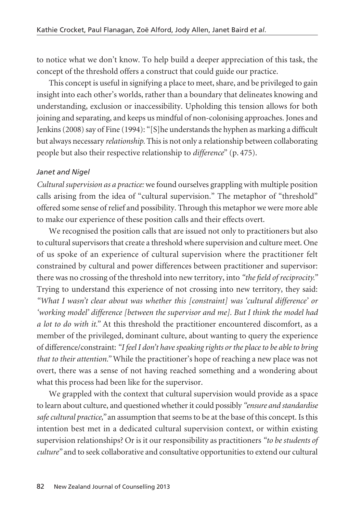to notice what we don't know. To help build a deeper appreciation of this task, the concept of the threshold offers a construct that could guide our practice.

This concept is useful in signifying a place to meet, share, and be privileged to gain insight into each other's worlds, rather than a boundary that delineates knowing and understanding, exclusion or inaccessibility. Upholding this tension allows for both joining and separating, and keeps us mindful of non-colonising approaches. Jones and Jenkins (2008) say of Fine (1994): "[S]he understands the hyphen as marking a difficult but always necessary *relationship.* This is not only a relationship between collaborating people but also their respective relationship to *difference*" (p. 475).

## *Janet and Nigel*

*Cultural supervision as a practice:* we found ourselves grappling with multiple position calls arising from the idea of "cultural supervision." The metaphor of "threshold" offered some sense of relief and possibility. Through this metaphor we were more able to make our experience of these position calls and their effects overt.

We recognised the position calls that are issued not only to practitioners but also to cultural supervisors that create a threshold where supervision and culture meet. One of us spoke of an experience of cultural supervision where the practitioner felt constrained by cultural and power differences between practitioner and supervisor: there was no crossing of the threshold into new territory, into *"the field of reciprocity."* Trying to understand this experience of not crossing into new territory, they said: *"What I wasn't clear about was whether this [constraint] was 'cultural difference' or 'working model' difference [between the supervisor and me]. But I think the model had a lot to do with it."* At this threshold the practitioner encountered discomfort, as a member of the privileged, dominant culture, about wanting to query the experience of difference/constraint: *"I feel I don't have speaking rights or the place to be able to bring that to their attention."* While the practitioner's hope of reaching a new place was not overt, there was a sense of not having reached something and a wondering about what this process had been like for the supervisor.

We grappled with the context that cultural supervision would provide as a space to learn about culture, and questioned whether it could possibly *"ensure and standardise safe cultural practice,"* an assumption that seems to be at the base of this concept. Is this intention best met in a dedicated cultural supervision context, or within existing supervision relationships? Or is it our responsibility as practitioners *"to be students of culture"* and to seek collaborative and consultative opportunities to extend our cultural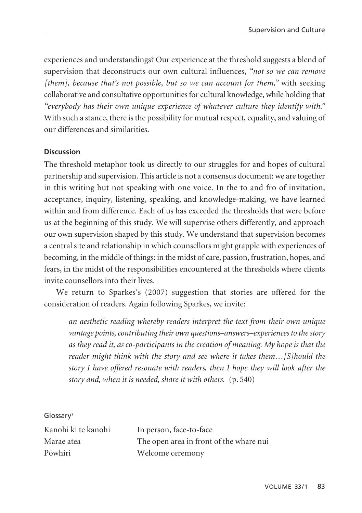experiences and understandings? Our experience at the threshold suggests a blend of supervision that deconstructs our own cultural influences, *"not so we can remove [them], because that's not possible, but so we can account for them,"* with seeking collaborative and consultative opportunities for cultural knowledge, while holding that *"everybody has their own unique experience of whatever culture they identify with."* With such a stance, there is the possibility for mutual respect, equality, and valuing of our differences and similarities.

# **Discussion**

The threshold metaphor took us directly to our struggles for and hopes of cultural partnership and supervision. This article is not a consensus document: we are together in this writing but not speaking with one voice. In the to and fro of invitation, acceptance, inquiry, listening, speaking, and knowledge-making, we have learned within and from difference. Each of us has exceeded the thresholds that were before us at the beginning of this study. We will supervise others differently, and approach our own supervision shaped by this study. We understand that supervision becomes a central site and relationship in which counsellors might grapple with experiences of becoming, in the middle of things: in the midst of care, passion, frustration, hopes, and fears, in the midst of the responsibilities encountered at the thresholds where clients invite counsellors into their lives.

We return to Sparkes's (2007) suggestion that stories are offered for the consideration of readers. Again following Sparkes, we invite:

*an aesthetic reading whereby readers interpret the text from their own unique vantage points, contributing their own questions–answers–experiences to the story as they read it, as co-participants in the creation of meaning. My hope is that the reader might think with the story and see where it takes them…[S]hould the story I have offered resonate with readers, then I hope they will look after the story and, when it is needed, share it with others.* (p. 540)

#### Glossary7

| Kanohi ki te kanohi | In person, face-to-face                 |
|---------------------|-----------------------------------------|
| Marae atea          | The open area in front of the whare nui |
| Pōwhiri             | Welcome ceremony                        |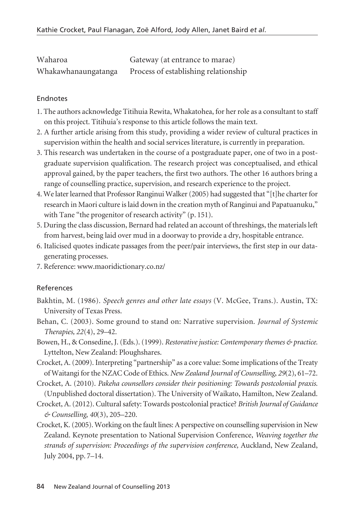| Waharoa             | Gateway (at entrance to marae)       |
|---------------------|--------------------------------------|
| Whakawhanaungatanga | Process of establishing relationship |

#### Endnotes

- 1. The authors acknowledge Titihuia Rewita, Whakatohea, for her role as a consultant to staff on this project. Titihuia's response to this article follows the main text.
- 2. A further article arising from this study, providing a wider review of cultural practices in supervision within the health and social services literature, is currently in preparation.
- 3. This research was undertaken in the course of a postgraduate paper, one of two in a postgraduate supervision qualification. The research project was conceptualised, and ethical approval gained, by the paper teachers, the first two authors. The other 16 authors bring a range of counselling practice, supervision, and research experience to the project.
- 4. We later learned that Professor Ranginui Walker (2005) had suggested that "[t]he charter for research in Maori culture is laid down in the creation myth of Ranginui and Papatuanuku," with Tane "the progenitor of research activity" (p. 151).
- 5. During the class discussion, Bernard had related an account of threshings, the materials left from harvest, being laid over mud in a doorway to provide a dry, hospitable entrance.
- 6. Italicised quotes indicate passages from the peer/pair interviews, the first step in our datagenerating processes.
- 7. Reference: www.maoridictionary.co.nz/

#### References

- Bakhtin, M. (1986). *Speech genres and other late essays* (V. McGee, Trans.). Austin, TX: University of Texas Press.
- Behan, C. (2003). Some ground to stand on: Narrative supervision. *Journal of Systemic Therapies, 22*(4), 29–42.
- Bowen, H., & Consedine, J. (Eds.). (1999). *Restorative justice: Contemporary themes & practice.* Lyttelton, New Zealand: Ploughshares.
- Crocket, A. (2009). Interpreting "partnership" as a core value: Some implications of the Treaty of Waitangi for the NZAC Code of Ethics. *New Zealand Journal of Counselling*, *29*(2), 61–72.
- Crocket, A. (2010). *Pakeha counsellors consider their positioning: Towards postcolonial praxis.* (Unpublished doctoral dissertation). The University of Waikato, Hamilton, New Zealand.
- Crocket, A. (2012). Cultural safety: Towards postcolonial practice? *British Journal of Guidance & Counselling*, *40*(3), 205–220.
- Crocket, K. (2005). Working on the fault lines: A perspective on counselling supervision in New Zealand. Keynote presentation to National Supervision Conference, *Weaving together the strands of supervision: Proceedings of the supervision conference,* Auckland, New Zealand, July 2004, pp. 7–14.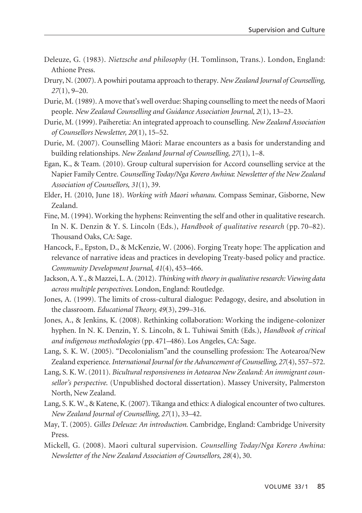- Deleuze, G. (1983). *Nietzsche and philosophy* (H. Tomlinson, Trans.). London, England: Athione Press.
- Drury, N. (2007). A powhiri poutama approach to therapy. *New Zealand Journal of Counselling*, *27*(1), 9–20.
- Durie, M. (1989). A move that's well overdue: Shaping counselling to meet the needs of Maori people. *New Zealand Counselling and Guidance Association Journal*, *2*(1), 13–23.
- Durie, M. (1999). Paiheretia: An integrated approach to counselling. *New Zealand Association of Counsellors Newsletter, 20*(1), 15–52.
- Durie, M. (2007). Counselling Mäori: Marae encounters as a basis for understanding and building relationships. *New Zealand Journal of Counselling*, *27*(1), 1–8.
- Egan, K., & Team. (2010). Group cultural supervision for Accord counselling service at the Napier Family Centre. *Counselling Today/Nga Korero Awhina*: *Newsletter of the New Zealand Association of Counsellors, 31*(1), 39.
- Elder, H. (2010, June 18). *Working with Maori whanau*. Compass Seminar, Gisborne, New Zealand.
- Fine, M. (1994). Working the hyphens: Reinventing the self and other in qualitative research. In N. K. Denzin & Y. S. Lincoln (Eds.), *Handbook of qualitative research* (pp. 70–82). Thousand Oaks, CA: Sage.
- Hancock, F., Epston, D., & McKenzie, W. (2006). Forging Treaty hope: The application and relevance of narrative ideas and practices in developing Treaty-based policy and practice. *Community Development Journal*, *41*(4), 453–466.
- Jackson, A. Y., & Mazzei, L. A. (2012). *Thinking with theory in qualitative research: Viewing data across multiple perspectives*. London, England: Routledge.
- Jones, A. (1999). The limits of cross-cultural dialogue: Pedagogy, desire, and absolution in the classroom. *Educational Theory, 49*(3), 299–316.
- Jones, A., & Jenkins, K. (2008). Rethinking collaboration: Working the indigene-colonizer hyphen. In N. K. Denzin, Y. S. Lincoln, & L. Tuhiwai Smith (Eds.), *Handbook of critical and indigenous methodologies* (pp. 471–486). Los Angeles, CA: Sage.
- Lang, S. K. W. (2005). "Decolonialism"and the counselling profession: The Aotearoa/New Zealand experience. *International Journal for the Advancement of Counselling, 27*(4), 557–572.
- Lang, S. K. W. (2011). *Bicultural responsiveness in Aotearoa New Zealand: An immigrant counsellor's perspective*. (Unpublished doctoral dissertation). Massey University, Palmerston North, New Zealand.
- Lang, S. K. W., & Katene, K. (2007). Tikanga and ethics: A dialogical encounter of two cultures. *New Zealand Journal of Counselling*, *27*(1), 33–42.
- May, T. (2005). *Gilles Deleuze: An introduction*. Cambridge, England: Cambridge University Press.
- Mickell, G. (2008). Maori cultural supervision. *Counselling Today/Nga Korero Awhina: Newsletter of the New Zealand Association of Counsellors*, *28*(4), 30.